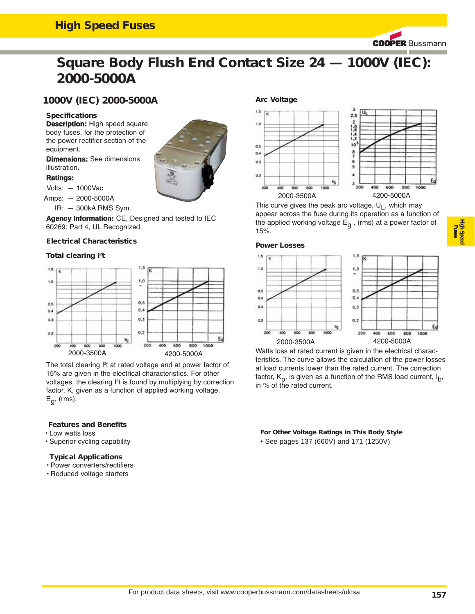### **High Speed Fuses**

**COOPER Bussmann** 

# **Square Body Flush End Contact Size 24 — 1000V (IEC): 2000-5000A**

### **1000V (IEC) 2000-5000A**

#### **Specifications**

**Description:** High speed square body fuses, for the protection of the power rectifier section of the equipment.

**Dimensions:** See dimensions illustration.

#### **Ratings:**

Volts: — 1000Vac

Amps: — 2000-5000A

IR: — 300kA RMS Sym.

**Agency Information:** CE, Designed and tested to IEC 60269: Part 4, UL Recognized.

#### **Electrical Characteristics**

#### Total clearing l<sup>2</sup>t



The total clearing l<sup>2</sup>t at rated voltage and at power factor of 15% are given in the electrical characteristics. For other voltages, the clearing I<sup>2</sup>t is found by multiplying by correction factor, K, given as a function of applied working voltage,  $E_q$ , (rms).

#### **Features and Benefits**

- Low watts loss
- Superior cycling capability

#### **Typical Applications**

- Power converters/rectifiers
- Reduced voltage starters



This curve gives the peak arc voltage,  $U_1$ , which may appear across the fuse during its operation as a function of the applied working voltage  $E_{\alpha}$ , (rms) at a power factor of 15%.

#### **Power Losses**



Watts loss at rated current is given in the electrical characteristics. The curve allows the calculation of the power losses at load currents lower than the rated current. The correction factor,  $K_p$ , is given as a function of the RMS load current,  $I_p$ , in % of the rated current.

**For Other Voltage Ratings in This Body Style**  • See pages 137 (660V) and 171 (1250V)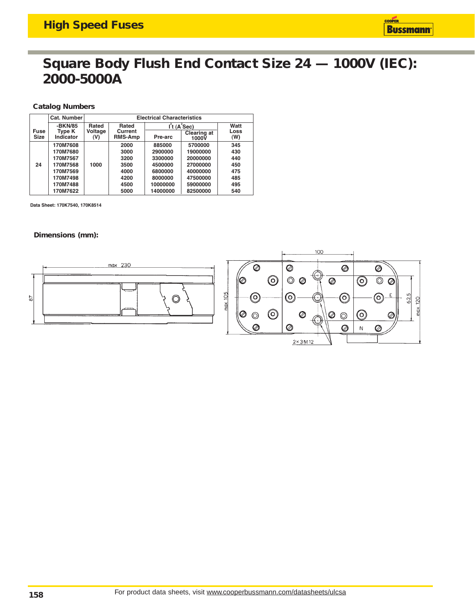### **Square Body Flush End Contact Size 24 — 1000V (IEC): 2000-5000A**

#### **Catalog Numbers**

|                            | Cat. Number         |                | <b>Electrical Characteristics</b> |          |                               |             |
|----------------------------|---------------------|----------------|-----------------------------------|----------|-------------------------------|-------------|
|                            | -BKN/85             | Rated          | Rated                             |          | $\mathsf{I}^2$ t (A $^2$ Sec) | Watt        |
| <b>Fuse</b><br><b>Size</b> | Type K<br>Indicator | Voltage<br>(V) | Current<br><b>RMS-Amp</b>         | Pre-arc  | <b>Clearing at</b><br>1000V   | Loss<br>(W) |
|                            | 170M7608            |                | 2000                              | 885000   | 5700000                       | 345         |
|                            | 170M7680            |                | 3000                              | 2900000  | 19000000                      | 430         |
|                            | 170M7567            |                | 3200                              | 3300000  | 20000000                      | 440         |
| 24                         | 170M7568            | 1000           | 3500                              | 4500000  | 27000000                      | 450         |
|                            | 170M7569            |                | 4000                              | 6800000  | 40000000                      | 475         |
|                            | 170M7498            |                | 4200                              | 8000000  | 47500000                      | 485         |
|                            | 170M7488            |                | 4500                              | 10000000 | 59000000                      | 495         |
|                            | 170M7622            |                | 5000                              | 14000000 | 82500000                      | 540         |

Data Sheet: 170K7540, 170K8514

#### **Dimensions (mm):**